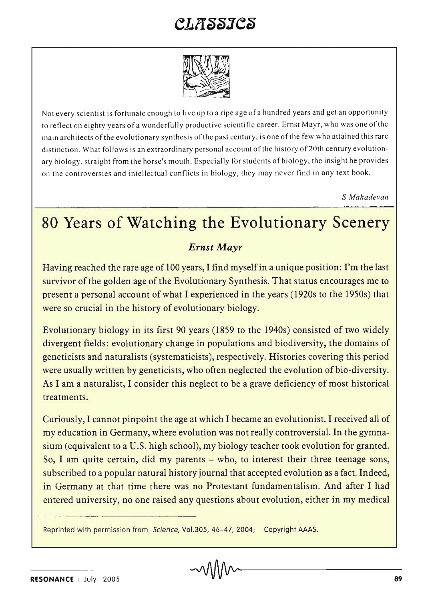

Not every scientist is fortunate enough to live up to a ripe age of a hundred years and get an opportunity to reflect on eighty years of a wonderfully productive scientific career. Ernst Mayr, who was one of the main architects of the evolutionary synthesis of the past century, is one of the few who attained this rare distinction. What follows is an extraordinary personal account of the history of 20th century evolutionary biology, straight from the horse's mouth. Especially for students of biology, the insight he provides on the controversies and intellectual conflicts in biology, they may never find in any text book.

S *Mahadevan* 

#### **80 Years of Watching the Evolutionary Scenery**

#### *Ernst Mayr*

Having reached the rare age of 100 years, I find myselfin a unique position: I'm the last survivor of the golden age of the Evolutionary Synthesis. That status encourages me to present a personal account of what I experienced in the years (1920s to the 1950s) that were so crucial in the history of evolutionary biology.

Evolutionary biology in its first 90 years (1859 to the 1940s) consisted of two widely divergent fields: evolutionary change in populations and biodiversity, the domains of geneticists and naturalists (systematicists), respectively. Histories covering this period were usually written by geneticists, who often neglected the evolution of bio-diversity. As I am a naturalist, I consider this neglect to be a grave deficiency of most historical treatments.

Curiously, I cannot pinpoint the age at which I became an evolutionist. I received all of my education in Germany, where evolution was not really controversial. In the gymnasium (equivalent to a U.S. high school), my biology teacher took evolution for granted. So, I am quite certain, did my parents  $-$  who, to interest their three teenage sons, subscribed to a popular natural history journal that accepted evolution as a fact. Indeed, in Germany at that time there was no Protestant fundamentalism. And after I had entered university, no one raised any questions about evolution, either in my medical

Reprinted with permission from Science, Vo1.305, 46-47, 2004; Copyright AAAS.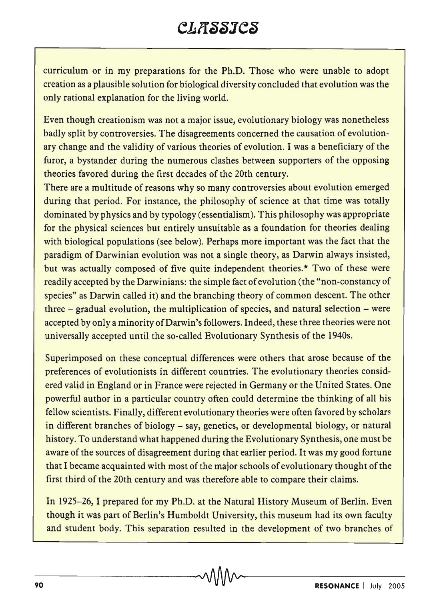curriculum or in my preparations for the Ph.D. Those who were unable to adopt creation as a plausible solution for biological diversity concluded that evolution was the only rational explanation for the living world.

Even though creationism was not a major issue, evolutionary biology was nonetheless badly split by controversies. The disagreements concerned the causation of evolutionary change and the validity of various theories of evolution. I was a beneficiary of the furor, a bystander during the numerous clashes between supporters of the opposing theories favored during the first decades of the 20th century.

There are a multitude of reasons why so many controversies about evolution emerged during that period. For instance, the philosophy of science at that time was totally dominated by physics and by typology (essentialism). This philosophy was appropriate for the physical sciences but entirely unsuitable as a foundation for theories dealing with biological populations (see below). Perhaps more important was the fact that the paradigm of Darwinian evolution was not a single theory, as Darwin always insisted, but was actually composed of five quite independent theories.<sup>\*</sup> Two of these were readily accepted by the Darwinians: the simple fact of evolution (the "non-constancy of species" as Darwin called it) and the branching theory of common descent. The other three  $-$  gradual evolution, the multiplication of species, and natural selection  $-$  were accepted by only a minority of Darwin's followers. Indeed, these three theories were not universally accepted until the so-called Evolutionary Synthesis of the 1940s.

Superimposed on these conceptual differences were others that arose because of the preferences of evolutionists in different countries. The evolutionary theories considered valid in England or in France were rejected in Germany or the United States. One powerful author in a particular country often could determine the thinking of all his fellow scientists. Finally, different evolutionary theories were often favored by scholars in different branches of biology - say, genetics, or developmental biology, or natural history. To understand what happened during the Evolutionary Synthesis, one must be aware of the sources of disagreement during that earlier period. It was my good fortune that I became acquainted with most of the major schools of evolutionary thought of the first third of the 20th century and was therefore able to compare their claims.

In 1925-26, I prepared for my Ph.D. at the Natural History Museum of Berlin. Even though it was part of Berlin's Humboldt University, this museum had its own faculty and student body. This separation resulted in the development of two branches of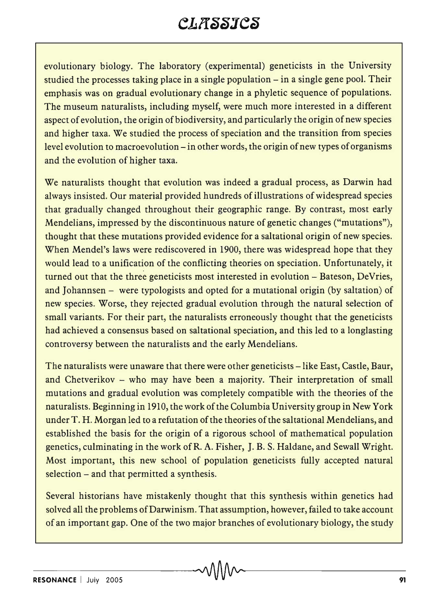evolutionary biology. The laboratory (experimental) geneticists in the University studied the processes taking place in a single population  $-$  in a single gene pool. Their emphasis was on gradual evolutionary change in a phyletic sequence of populations. The museum naturalists, including myself, were much more interested in a different aspect of evolution, the origin of biodiversity, and particularly the origin of new species and higher taxa. We studied the process of speciation and the transition from species level evolution to macroevolution – in other words, the origin of new types of organisms and the evolution of higher taxa.

We naturalists thought that evolution was indeed a gradual process, as Darwin had always insisted. Our material provided hundreds of illustrations of widespread species that gradually changed throughout their geographic range. By contrast, most early Mendelians, impressed by the discontinuous nature of genetic changes ("mutations"), thought that these mutations provided evidence for a saltational origin of new species. When Mendel's laws were rediscovered in 1900, there was widespread hope that they would lead to a unification of the conflicting theories on speciation. Unfortunately, it turned out that the three geneticists most interested in evolution – Bateson, DeVries, and Johannsen  $-$  were typologists and opted for a mutational origin (by saltation) of new species. Worse, they rejected gradual evolution through the natural selection of small variants. For their part, the naturalists erroneously thought that the geneticists had achieved a consensus based on saltational speciation, and this led to a longlasting controversy between the naturalists and the early Mendelians.

The naturalists were unaware that there were other geneticists – like East, Castle, Baur, and Chetverikov  $-$  who may have been a majority. Their interpretation of small mutations and gradual evolution was completely compatible with the theories of the naturalists. Beginning in 1910, the work of the Columbia University group in New York under T. H. Morganled to a refutation of the theories of the saltational Mendelians, and established the basis for the origin of a rigorous school of mathematical population genetics, culminating in the work ofR. A. Fisher, J. B. S. Haldane, and Sewall Wright. Most important, this new school of population geneticists fully accepted natural selection – and that permitted a synthesis.

Several historians have mistakenly thought that this synthesis within genetics had solved all the problems of Darwinism. That assumption, however, failed to take account of an important gap. One of the two major branches of evolutionary biology, the study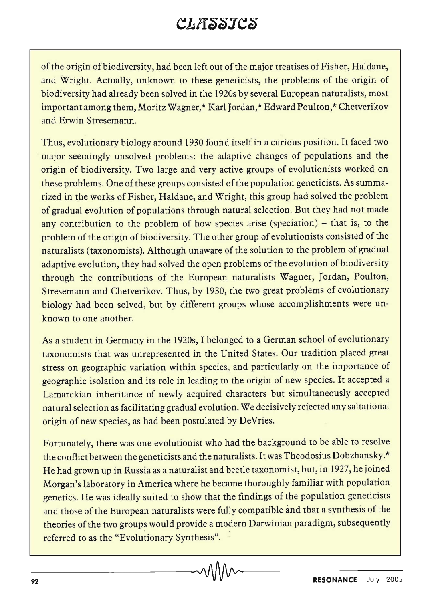of the origin of biodiversity, had been left out of the major treatises of Fisher, Haldane, and Wright. Actually, unknown to these geneticists, the problems of the origin of biodiversity had already been solved in the 1920s by several European naturalists, most important among them, Moritz Wagner, \* Karl Jordan, \* Edward Poulton, \* Chetverikov and Erwin Stresemann.

Thus, evolutionary biology around 1930 found itself in a curious position. It faced two major seemingly unsolved problems: the adaptive changes of populations and the origin of biodiversity. Two large and very active groups of evolutionists worked on these problems. One of these groups consisted of the population geneticists. As summarized in the works of Fisher, Haldane, and Wright, this group had solved the problem of gradual evolution of populations through natural selection. But they had not made any contribution to the problem of how species arise (speciation)  $-$  that is, to the problem of the origin of biodiversity. The other group of evolutionists consisted of the naturalists (taxonomists). Although unaware of the solution to the problem of gradual adaptive evolution, they had solved the open problems of the evolution of biodiversity through the contributions of the European naturalists Wagner, Jordan, Poulton, Stresemann and Chetverikov. Thus, by 1930, the two great problems of evolutionary biology had been solved, but by different groups whose accomplishments were unknown to one another.

As a student in Germany in the 1920s, I belonged to a German school of evolutionary taxonomists that was unrepresented in the United States. Our tradition placed great stress on geographic variation within species, and particularly on the importance of geographic isolation and its role in leading to the origin of new species. It accepted a Lamarckian inheritance of newly acquired characters but simultaneously accepted natural selection as facilitating gradual evolution. We decisively rejected any saltational origin of new species, as had been postulated by DeVries.

Fortunately, there was one evolutionist who had the background to be able to resolve the conflict between the geneticists and the naturalists. It was Theodosius Dobzhansky. \* He had grown up in Russia as a naturalist and beetle taxonomist, but, in 1927, he joined Morgan's laboratory in America where he became thoroughly familiar with population genetics. He was ideally suited to show that the findings of the population geneticists and those of the European naturalists were fully compatible and that a synthesis of the theories of the two groups would provide a modern Darwinian paradigm, subsequently referred to as the "Evolutionary Synthesis".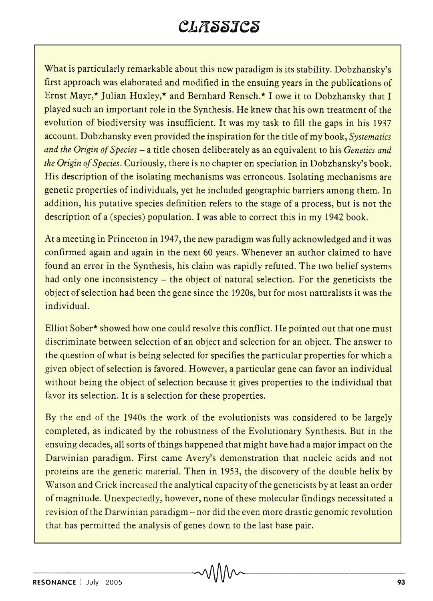What is particularly remarkable about this new paradigm is its stability. Dobzhansky's first approach was elaborated and modified in the ensuing years in the publications of Ernst Mayr,\* Julian Huxley,\* and Bernhard Rensch.\* I owe it to Dobzhansky that I played such an important role in the Synthesis. He knew that his own treatment of the evolution of biodiversity was insufficient. It was my task to fill the gaps in his 1937 account. Dobzhansky even provided the inspiration for the title of my book, *Systematics and the Origin of Species* - a title chosen deliberately as an equivalent to his *Genetics and the Origin of Species.* Curiously, there is no chapter on speciation in Dobzhansky's book. His description of the isolating mechanisms was erroneous. Isolating mechanisms are genetic properties of individuals, yet he included geographic barriers among them. In addition, his putative species definition refers to the stage of a process, but is not the description of a (species) population. I was able to correct this in my 1942 book.

At a meeting in Princeton in 1947, the new paradigm was fully acknowledged and it was confirmed again and again in the next 60 years. Whenever an author claimed to have found an error in the Synthesis, his claim was rapidly refuted. The two belief systems had only one inconsistency - the object of natural selection. For the geneticists the object of selection had been the gene since the 1920s, but for most naturalists it was the individual.

Elliot Sober<sup>\*</sup> showed how one could resolve this conflict. He pointed out that one must discriminate between selection of an object and selection for an object. The answer to the question of what is being selected for specifies the particular properties for which a given object of selection is favored. However, a particular gene can favor an individual without being the object of selection because it gives properties to the individual that favor its selection. It is a selection for these properties.

By the end of the 1940s the work of the evolutionists was considered to be largely completed, as indicated by the robustness of the Evolutionary Synthesis. But in the ensuing decades, all sorts of things happened that might have had a major impact on the Darwinian paradigm. First came Avery's demonstration that nucleic acids and not proteins are the genetic material. Then in 1953, the discovery of the double helix by Watson and Crick increased the analytical capacity of the geneticists by at least an order of magnitude. Unexpectedly, however, none of these molecular findings necessitated a revision of the Darwinian paradigm - nor did the even more drastic genomic revolution that has permitted the analysis of genes down to the last base pair.